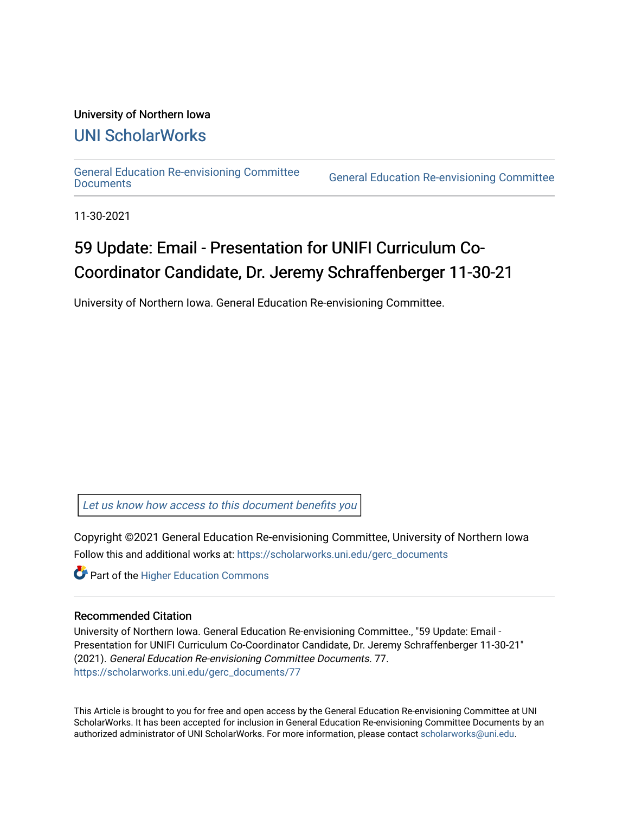#### University of Northern Iowa

### [UNI ScholarWorks](https://scholarworks.uni.edu/)

[General Education Re-envisioning Committee](https://scholarworks.uni.edu/gerc_documents) 

**General Education Re-envisioning Committee** 

11-30-2021

# 59 Update: Email - Presentation for UNIFI Curriculum Co-Coordinator Candidate, Dr. Jeremy Schraffenberger 11-30-21

University of Northern Iowa. General Education Re-envisioning Committee.

[Let us know how access to this document benefits you](https://scholarworks.uni.edu/feedback_form.html) 

Copyright ©2021 General Education Re-envisioning Committee, University of Northern Iowa Follow this and additional works at: [https://scholarworks.uni.edu/gerc\\_documents](https://scholarworks.uni.edu/gerc_documents?utm_source=scholarworks.uni.edu%2Fgerc_documents%2F77&utm_medium=PDF&utm_campaign=PDFCoverPages)

**Part of the Higher Education Commons** 

#### Recommended Citation

University of Northern Iowa. General Education Re-envisioning Committee., "59 Update: Email - Presentation for UNIFI Curriculum Co-Coordinator Candidate, Dr. Jeremy Schraffenberger 11-30-21" (2021). General Education Re-envisioning Committee Documents. 77. [https://scholarworks.uni.edu/gerc\\_documents/77](https://scholarworks.uni.edu/gerc_documents/77?utm_source=scholarworks.uni.edu%2Fgerc_documents%2F77&utm_medium=PDF&utm_campaign=PDFCoverPages) 

This Article is brought to you for free and open access by the General Education Re-envisioning Committee at UNI ScholarWorks. It has been accepted for inclusion in General Education Re-envisioning Committee Documents by an authorized administrator of UNI ScholarWorks. For more information, please contact [scholarworks@uni.edu.](mailto:scholarworks@uni.edu)